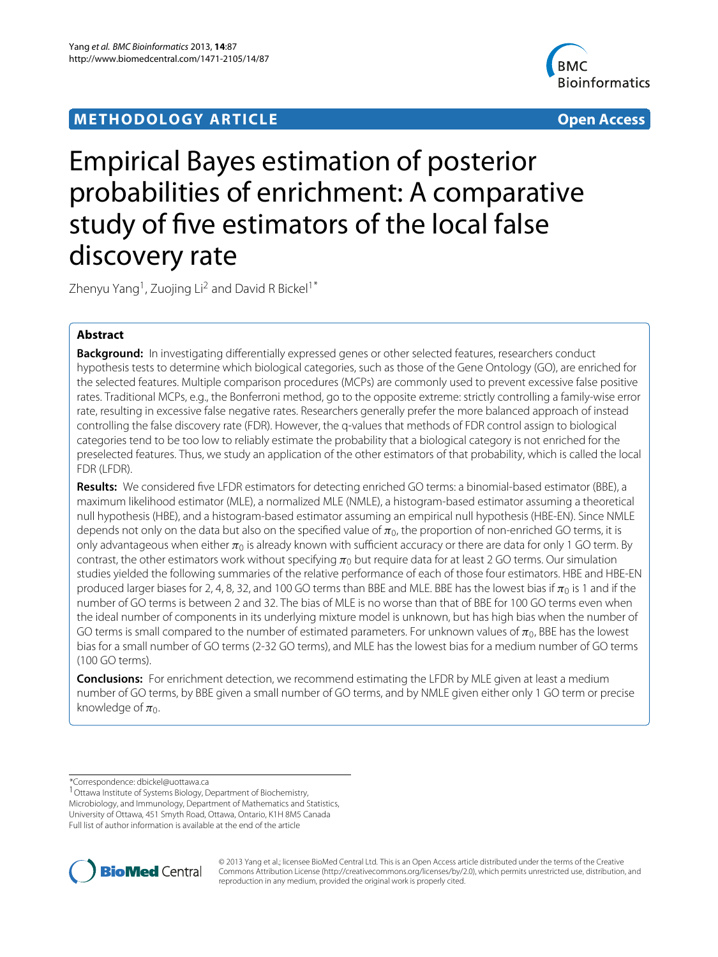## **METHODOLOGY ARTICLE Open Access**



# Empirical Bayes estimation of posterior probabilities of enrichment: A comparative study of five estimators of the local false discovery rate

Zhenyu Yang<sup>1</sup>, Zuojing Li<sup>2</sup> and David R Bickel<sup>1\*</sup>

## **Abstract**

**Background:** In investigating differentially expressed genes or other selected features, researchers conduct hypothesis tests to determine which biological categories, such as those of the Gene Ontology (GO), are enriched for the selected features. Multiple comparison procedures (MCPs) are commonly used to prevent excessive false positive rates. Traditional MCPs, e.g., the Bonferroni method, go to the opposite extreme: strictly controlling a family-wise error rate, resulting in excessive false negative rates. Researchers generally prefer the more balanced approach of instead controlling the false discovery rate (FDR). However, the q-values that methods of FDR control assign to biological categories tend to be too low to reliably estimate the probability that a biological category is not enriched for the preselected features. Thus, we study an application of the other estimators of that probability, which is called the local FDR (LFDR).

**Results:** We considered five LFDR estimators for detecting enriched GO terms: a binomial-based estimator (BBE), a maximum likelihood estimator (MLE), a normalized MLE (NMLE), a histogram-based estimator assuming a theoretical null hypothesis (HBE), and a histogram-based estimator assuming an empirical null hypothesis (HBE-EN). Since NMLE depends not only on the data but also on the specified value of  $\pi_0$ , the proportion of non-enriched GO terms, it is only advantageous when either π<sub>0</sub> is already known with sufficient accuracy or there are data for only 1 GO term. By contrast, the other estimators work without specifying  $\pi_0$  but require data for at least 2 GO terms. Our simulation studies yielded the following summaries of the relative performance of each of those four estimators. HBE and HBE-EN produced larger biases for 2, 4, 8, 32, and 100 GO terms than BBE and MLE. BBE has the lowest bias if  $\pi_0$  is 1 and if the number of GO terms is between 2 and 32. The bias of MLE is no worse than that of BBE for 100 GO terms even when the ideal number of components in its underlying mixture model is unknown, but has high bias when the number of GO terms is small compared to the number of estimated parameters. For unknown values of  $\pi_0$ , BBE has the lowest bias for a small number of GO terms (2-32 GO terms), and MLE has the lowest bias for a medium number of GO terms (100 GO terms).

**Conclusions:** For enrichment detection, we recommend estimating the LFDR by MLE given at least a medium number of GO terms, by BBE given a small number of GO terms, and by NMLE given either only 1 GO term or precise knowledge of  $\pi_0$ .

Microbiology, and Immunology, Department of Mathematics and Statistics, University of Ottawa, 451 Smyth Road, Ottawa, Ontario, K1H 8M5 Canada Full list of author information is available at the end of the article



© 2013 Yang et al.; licensee BioMed Central Ltd. This is an Open Access article distributed under the terms of the Creative Commons Attribution License (http://creativecommons.org/licenses/by/2.0), which permits unrestricted use, distribution, and reproduction in any medium, provided the original work is properly cited.

<sup>\*</sup>Correspondence: dbickel@uottawa.ca

<sup>1</sup>Ottawa Institute of Systems Biology, Department of Biochemistry,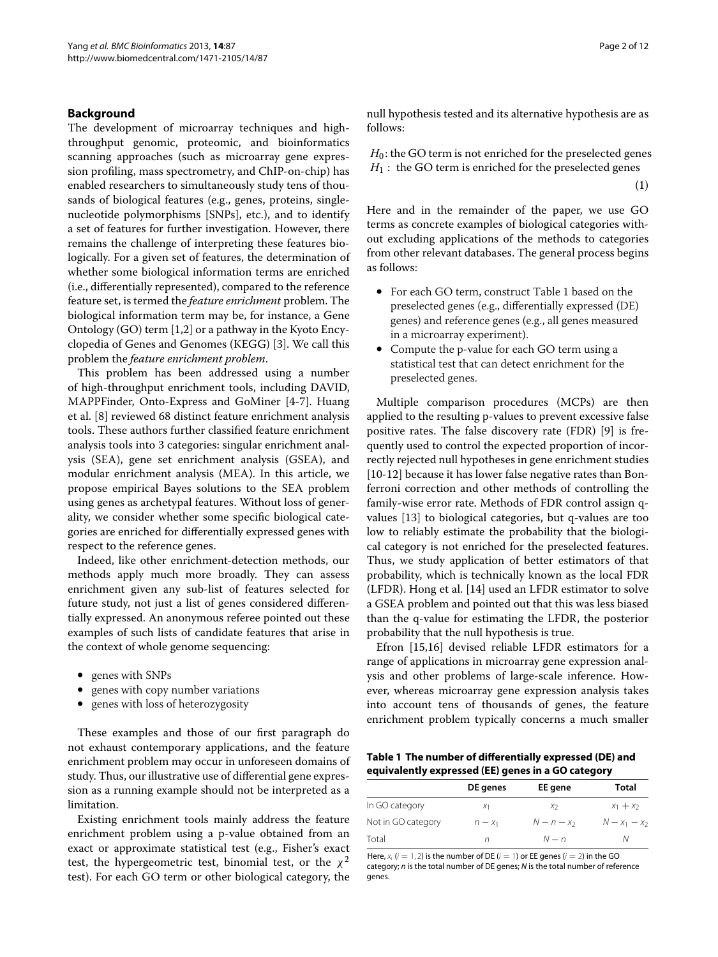## **Background**

The development of microarray techniques and highthroughput genomic, proteomic, and bioinformatics scanning approaches (such as microarray gene expression profiling, mass spectrometry, and ChIP-on-chip) has enabled researchers to simultaneously study tens of thousands of biological features (e.g., genes, proteins, singlenucleotide polymorphisms [SNPs], etc.), and to identify a set of features for further investigation. However, there remains the challenge of interpreting these features biologically. For a given set of features, the determination of whether some biological information terms are enriched (i.e., differentially represented), compared to the reference feature set, is termed the *feature enrichment* problem. The biological information term may be, for instance, a Gene Ontology (GO) term [\[1,](#page-10-0)[2\]](#page-10-1) or a pathway in the Kyoto Encyclopedia of Genes and Genomes (KEGG) [\[3\]](#page-10-2). We call this problem the *feature enrichment problem*.

This problem has been addressed using a number of high-throughput enrichment tools, including DAVID, MAPPFinder, Onto-Express and GoMiner [\[4](#page-10-3)[-7\]](#page-10-4). Huang et al. [\[8\]](#page-10-5) reviewed 68 distinct feature enrichment analysis tools. These authors further classified feature enrichment analysis tools into 3 categories: singular enrichment analysis (SEA), gene set enrichment analysis (GSEA), and modular enrichment analysis (MEA). In this article, we propose empirical Bayes solutions to the SEA problem using genes as archetypal features. Without loss of generality, we consider whether some specific biological categories are enriched for differentially expressed genes with respect to the reference genes.

Indeed, like other enrichment-detection methods, our methods apply much more broadly. They can assess enrichment given any sub-list of features selected for future study, not just a list of genes considered differentially expressed. An anonymous referee pointed out these examples of such lists of candidate features that arise in the context of whole genome sequencing:

- genes with SNPs
- genes with copy number variations
- genes with loss of heterozygosity

These examples and those of our first paragraph do not exhaust contemporary applications, and the feature enrichment problem may occur in unforeseen domains of study. Thus, our illustrative use of differential gene expression as a running example should not be interpreted as a limitation.

Existing enrichment tools mainly address the feature enrichment problem using a p-value obtained from an exact or approximate statistical test (e.g., Fisher's exact test, the hypergeometric test, binomial test, or the  $\chi^2$ test). For each GO term or other biological category, the <span id="page-1-1"></span>null hypothesis tested and its alternative hypothesis are as follows:

 $H_0$ : the GO term is not enriched for the preselected genes  $H_1$ : the GO term is enriched for the preselected genes

(1)

Here and in the remainder of the paper, we use GO terms as concrete examples of biological categories without excluding applications of the methods to categories from other relevant databases. The general process begins as follows:

- For each GO term, construct Table [1](#page-1-0) based on the preselected genes (e.g., differentially expressed (DE) genes) and reference genes (e.g., all genes measured in a microarray experiment).
- Compute the p-value for each GO term using a statistical test that can detect enrichment for the preselected genes.

Multiple comparison procedures (MCPs) are then applied to the resulting p-values to prevent excessive false positive rates. The false discovery rate (FDR) [\[9\]](#page-10-6) is frequently used to control the expected proportion of incorrectly rejected null hypotheses in gene enrichment studies [\[10-](#page-10-7)[12\]](#page-10-8) because it has lower false negative rates than Bonferroni correction and other methods of controlling the family-wise error rate. Methods of FDR control assign qvalues [\[13\]](#page-10-9) to biological categories, but q-values are too low to reliably estimate the probability that the biological category is not enriched for the preselected features. Thus, we study application of better estimators of that probability, which is technically known as the local FDR (LFDR). Hong et al. [\[14\]](#page-10-10) used an LFDR estimator to solve a GSEA problem and pointed out that this was less biased than the q-value for estimating the LFDR, the posterior probability that the null hypothesis is true.

Efron [\[15](#page-10-11)[,16\]](#page-10-12) devised reliable LFDR estimators for a range of applications in microarray gene expression analysis and other problems of large-scale inference. However, whereas microarray gene expression analysis takes into account tens of thousands of genes, the feature enrichment problem typically concerns a much smaller

<span id="page-1-0"></span>**Table 1 The number of differentially expressed (DE) and equivalently expressed (EE) genes in a GO category**

|                    | DE genes       | EE gene        | Total           |
|--------------------|----------------|----------------|-----------------|
| In GO category     | X <sub>1</sub> | X <sub>2</sub> | $x_1 + x_2$     |
| Not in GO category | $n - x_1$      | $N-n-x_2$      | $N - x_1 - x_2$ |
| Total              | n              | $N - n$        |                 |

Here,  $x_i$  ( $i = 1, 2$ ) is the number of DE ( $i = 1$ ) or EE genes ( $i = 2$ ) in the GO category; *n* is the total number of DE genes; *N* is the total number of reference genes.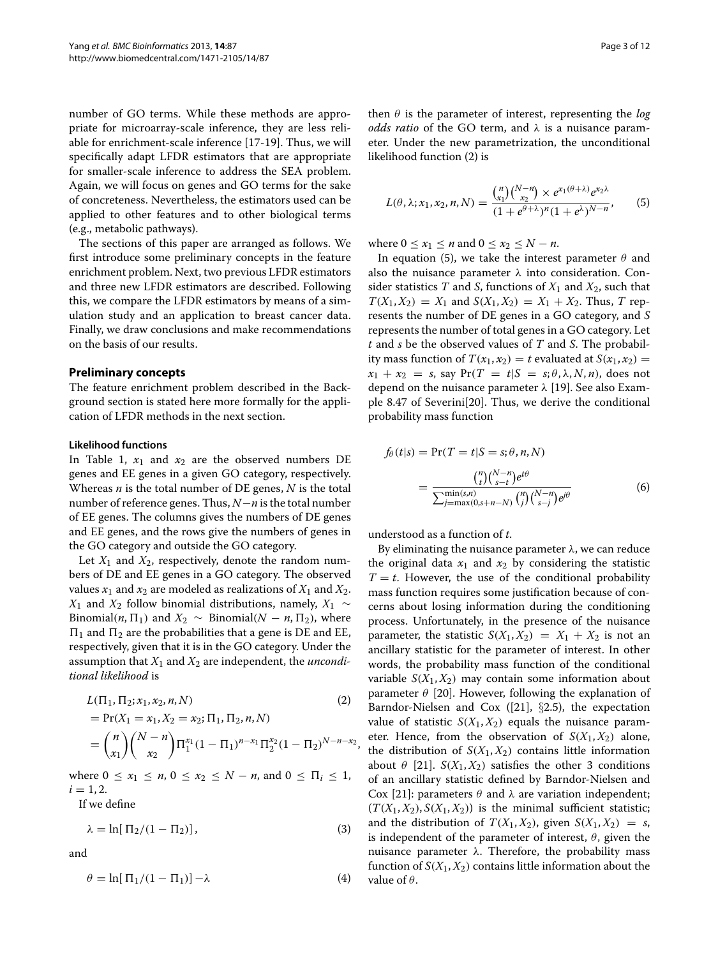number of GO terms. While these methods are appropriate for microarray-scale inference, they are less reliable for enrichment-scale inference [\[17-](#page-10-13)[19\]](#page-10-14). Thus, we will specifically adapt LFDR estimators that are appropriate for smaller-scale inference to address the SEA problem. Again, we will focus on genes and GO terms for the sake of concreteness. Nevertheless, the estimators used can be applied to other features and to other biological terms (e.g., metabolic pathways).

The sections of this paper are arranged as follows. We first introduce some preliminary concepts in the feature enrichment problem. Next, two previous LFDR estimators and three new LFDR estimators are described. Following this, we compare the LFDR estimators by means of a simulation study and an application to breast cancer data. Finally, we draw conclusions and make recommendations on the basis of our results.

## **Preliminary concepts**

The feature enrichment problem described in the Background section is stated here more formally for the application of LFDR methods in the next section.

#### **Likelihood functions**

In Table [1,](#page-1-0)  $x_1$  and  $x_2$  are the observed numbers DE genes and EE genes in a given GO category, respectively. Whereas *n* is the total number of DE genes, *N* is the total number of reference genes. Thus, *N*−*n* is the total number of EE genes. The columns gives the numbers of DE genes and EE genes, and the rows give the numbers of genes in the GO category and outside the GO category.

Let  $X_1$  and  $X_2$ , respectively, denote the random numbers of DE and EE genes in a GO category. The observed values  $x_1$  and  $x_2$  are modeled as realizations of  $X_1$  and  $X_2$ . *X*<sup>1</sup> and *X*<sup>2</sup> follow binomial distributions, namely, *X*<sup>1</sup> ∼ Binomial(*n*,  $\Pi_1$ ) and  $X_2 \sim$  Binomial( $N - n$ ,  $\Pi_2$ ), where  $\Pi_1$  and  $\Pi_2$  are the probabilities that a gene is DE and EE, respectively, given that it is in the GO category. Under the assumption that *X*<sup>1</sup> and *X*<sup>2</sup> are independent, the *unconditional likelihood* is

$$
L(\Pi_1, \Pi_2; x_1, x_2, n, N)
$$
\n
$$
= \Pr(X_1 = x_1, X_2 = x_2; \Pi_1, \Pi_2, n, N)
$$
\n
$$
= {n \choose x_1} {N - n \choose x_2} \Pi_1^{x_1} (1 - \Pi_1)^{n - x_1} \Pi_2^{x_2} (1 - \Pi_2)^{N - n - x_2},
$$
\n(2)

where  $0 \le x_1 \le n, 0 \le x_2 \le N - n$ , and  $0 \le \Pi_i \le 1$ ,  $i = 1, 2.$ 

If we define

$$
\lambda = \ln[\Pi_2/(1 - \Pi_2)],\tag{3}
$$

<span id="page-2-3"></span>and

$$
\theta = \ln[\Pi_1/(1 - \Pi_1)] - \lambda \tag{4}
$$

then *θ* is the parameter of interest, representing the *log odds ratio* of the GO term, and *λ* is a nuisance parameter. Under the new parametrization, the unconditional likelihood function [\(2\)](#page-2-0) is

<span id="page-2-1"></span>
$$
L(\theta, \lambda; x_1, x_2, n, N) = \frac{\binom{n}{x_1} \binom{N-n}{x_2} \times e^{x_1(\theta + \lambda)} e^{x_2 \lambda}}{(1 + e^{\theta + \lambda})^n (1 + e^{\lambda})^{N-n}},
$$
(5)

where  $0 \le x_1 \le n$  and  $0 \le x_2 \le N - n$ .

In equation [\(5\)](#page-2-1), we take the interest parameter *θ* and also the nuisance parameter *λ* into consideration. Consider statistics *T* and *S*, functions of  $X_1$  and  $X_2$ , such that  $T(X_1, X_2) = X_1$  and  $S(X_1, X_2) = X_1 + X_2$ . Thus, *T* represents the number of DE genes in a GO category, and *S* represents the number of total genes in a GO category. Let *t* and *s* be the observed values of *T* and *S*. The probability mass function of  $T(x_1, x_2) = t$  evaluated at  $S(x_1, x_2) =$  $x_1 + x_2 = s$ , say  $Pr(T = t | S = s; \theta, \lambda, N, n)$ , does not depend on the nuisance parameter *λ* [\[19\]](#page-10-14). See also Example 8.47 of Severini[\[20\]](#page-10-15). Thus, we derive the conditional probability mass function

<span id="page-2-2"></span>
$$
f_{\theta}(t|s) = \Pr(T = t|S = s; \theta, n, N)
$$
  
= 
$$
\frac{{\binom{n}{t}} {\binom{N-n}{s-t}} e^{t\theta}}{\sum_{j=\max(0, s+n-N)}^{\min(s, n)} {\binom{n}{j}} {\binom{N-n}{s-j}} e^{j\theta}}
$$
 (6)

understood as a function of *t*.

<span id="page-2-0"></span>By eliminating the nuisance parameter *λ*, we can reduce the original data  $x_1$  and  $x_2$  by considering the statistic  $T = t$ . However, the use of the conditional probability mass function requires some justification because of concerns about losing information during the conditioning process. Unfortunately, in the presence of the nuisance parameter, the statistic  $S(X_1, X_2) = X_1 + X_2$  is not an ancillary statistic for the parameter of interest. In other words, the probability mass function of the conditional variable  $S(X_1, X_2)$  may contain some information about parameter *θ* [\[20\]](#page-10-15). However, following the explanation of Barndor-Nielsen and Cox ([\[21\]](#page-10-16),  $\S$ 2.5), the expectation value of statistic  $S(X_1, X_2)$  equals the nuisance parameter. Hence, from the observation of  $S(X_1, X_2)$  alone, the distribution of  $S(X_1, X_2)$  contains little information about  $\theta$  [\[21\]](#page-10-16). *S*( $X_1, X_2$ ) satisfies the other 3 conditions of an ancillary statistic defined by Barndor-Nielsen and Cox [\[21\]](#page-10-16): parameters *θ* and *λ* are variation independent;  $(T(X_1, X_2), S(X_1, X_2))$  is the minimal sufficient statistic; and the distribution of  $T(X_1, X_2)$ , given  $S(X_1, X_2) = s$ , is independent of the parameter of interest, *θ*, given the nuisance parameter *λ*. Therefore, the probability mass function of  $S(X_1, X_2)$  contains little information about the value of *θ*.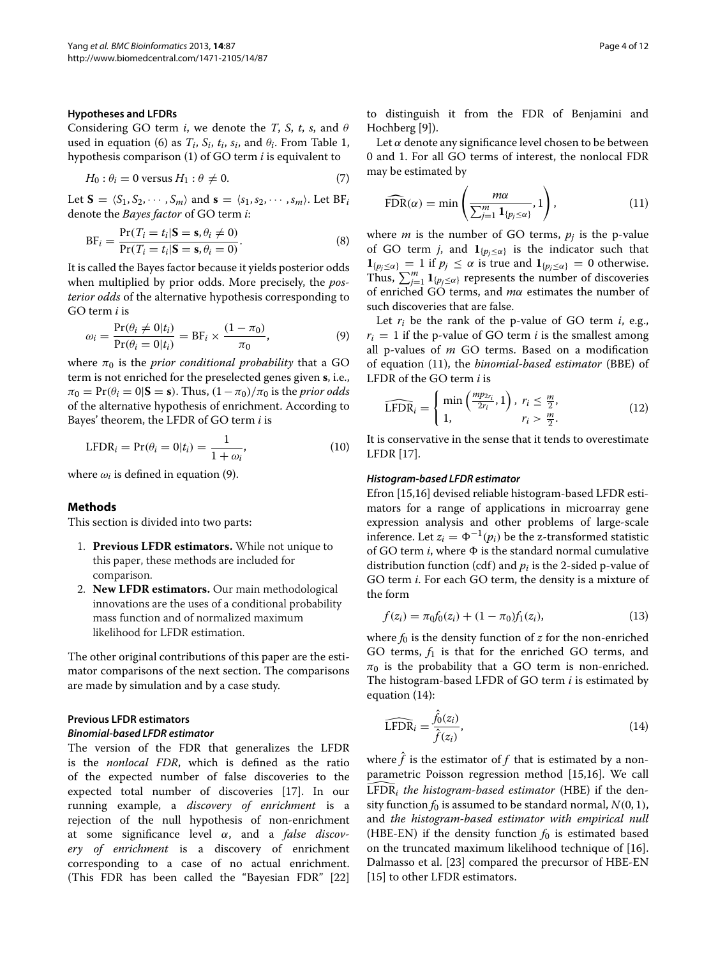#### **Hypotheses and LFDRs**

Considering GO term *i*, we denote the *T*, *S*, *t*, *s*, and *θ* used in equation [\(6\)](#page-2-2) as  $T_i$ ,  $S_i$ ,  $t_i$ ,  $s_i$ , and  $\theta_i$ . From Table [1,](#page-1-0) hypothesis comparison [\(1\)](#page-1-1) of GO term *i* is equivalent to

$$
H_0: \theta_i = 0 \text{ versus } H_1: \theta \neq 0. \tag{7}
$$

Let  $S = \langle S_1, S_2, \cdots, S_m \rangle$  and  $s = \langle s_1, s_2, \cdots, s_m \rangle$ . Let  $BF_i$ denote the *Bayes factor* of GO term *i*:

$$
BF_i = \frac{\Pr(T_i = t_i | \mathbf{S} = \mathbf{s}, \theta_i \neq 0)}{\Pr(T_i = t_i | \mathbf{S} = \mathbf{s}, \theta_i = 0)}.
$$
\n(8)

It is called the Bayes factor because it yields posterior odds when multiplied by prior odds. More precisely, the *posterior odds* of the alternative hypothesis corresponding to GO term *i* is

<span id="page-3-0"></span>
$$
\omega_i = \frac{\Pr(\theta_i \neq 0 | t_i)}{\Pr(\theta_i = 0 | t_i)} = \text{BF}_i \times \frac{(1 - \pi_0)}{\pi_0},\tag{9}
$$

where  $\pi_0$  is the *prior conditional probability* that a GO term is not enriched for the preselected genes given **s**, i.e.,  $\pi_0 = \Pr(\theta_i = 0 | \mathbf{S} = \mathbf{s})$ . Thus,  $(1 - \pi_0)/\pi_0$  is the *prior odds* of the alternative hypothesis of enrichment. According to Bayes' theorem, the LFDR of GO term *i* is

$$
LFDRi = Pr(\thetai = 0|ti) = \frac{1}{1 + \omegai},
$$
\n(10)

where  $\omega_i$  is defined in equation [\(9\)](#page-3-0).

## **Methods**

This section is divided into two parts:

- 1. **Previous LFDR estimators.** While not unique to this paper, these methods are included for comparison.
- 2. **New LFDR estimators.** Our main methodological innovations are the uses of a conditional probability mass function and of normalized maximum likelihood for LFDR estimation.

The other original contributions of this paper are the estimator comparisons of the next section. The comparisons are made by simulation and by a case study.

## **Previous LFDR estimators** *Binomial-based LFDR estimator*

The version of the FDR that generalizes the LFDR is the *nonlocal FDR*, which is defined as the ratio of the expected number of false discoveries to the expected total number of discoveries [\[17\]](#page-10-13). In our running example, a *discovery of enrichment* is a rejection of the null hypothesis of non-enrichment at some significance level *α*, and a *false discovery of enrichment* is a discovery of enrichment corresponding to a case of no actual enrichment. (This FDR has been called the "Bayesian FDR" [\[22\]](#page-10-17) to distinguish it from the FDR of Benjamini and Hochberg [\[9\]](#page-10-6)).

<span id="page-3-4"></span>Let  $\alpha$  denote any significance level chosen to be between 0 and 1. For all GO terms of interest, the nonlocal FDR may be estimated by

<span id="page-3-1"></span>
$$
\widehat{\text{FDR}}(\alpha) = \min\left(\frac{m\alpha}{\sum_{j=1}^{m} \mathbf{1}_{\{p_j \leq \alpha\}}}, 1\right),\tag{11}
$$

<span id="page-3-3"></span>where *m* is the number of GO terms,  $p_i$  is the p-value of GO term *j*, and  $\mathbf{1}_{\{p_j \leq \alpha\}}$  is the indicator such that  $\mathbf{1}_{\{p_j \leq \alpha\}} = 1$  if  $p_j \leq \alpha$  is true and  $\mathbf{1}_{\{p_j \leq \alpha\}} = 0$  otherwise. Thus,  $\sum_{j=1}^{m} \mathbf{1}_{\{p_j \leq \alpha\}}$  represents the number of discoveries of enriched GO terms, and *mα* estimates the number of such discoveries that are false.

Let *ri* be the rank of the p-value of GO term *i*, e.g.,  $r_i = 1$  if the p-value of GO term *i* is the smallest among all p-values of *m* GO terms. Based on a modification of equation [\(11\)](#page-3-1), the *binomial-based estimator* (BBE) of LFDR of the GO term *i* is

$$
\widehat{\text{LFDR}}_i = \begin{cases} \min\left(\frac{mp_{2r_i}}{2r_i}, 1\right), & r_i \le \frac{m}{2}, \\ 1, & r_i > \frac{m}{2}. \end{cases} \tag{12}
$$

<span id="page-3-5"></span>It is conservative in the sense that it tends to overestimate LFDR [\[17\]](#page-10-13).

#### *Histogram-based LFDR estimator*

Efron [\[15](#page-10-11)[,16\]](#page-10-12) devised reliable histogram-based LFDR estimators for a range of applications in microarray gene expression analysis and other problems of large-scale inference. Let  $z_i = \Phi^{-1}(p_i)$  be the z-transformed statistic of GO term  $i$ , where  $\Phi$  is the standard normal cumulative distribution function (cdf) and  $p_i$  is the 2-sided p-value of GO term *i*. For each GO term, the density is a mixture of the form

$$
f(z_i) = \pi_0 f_0(z_i) + (1 - \pi_0) f_1(z_i), \tag{13}
$$

where  $f_0$  is the density function of  $z$  for the non-enriched GO terms, *f*<sup>1</sup> is that for the enriched GO terms, and  $\pi_0$  is the probability that a GO term is non-enriched. The histogram-based LFDR of GO term *i* is estimated by equation [\(14\)](#page-3-2):

<span id="page-3-2"></span>
$$
\widehat{\text{LFDR}}_i = \frac{\hat{f}_0(z_i)}{\hat{f}(z_i)},\tag{14}
$$

where  $\hat{f}$  is the estimator of  $f$  that is estimated by a nonparametric Poisson regression method [\[15](#page-10-11)[,16\]](#page-10-12). We call  $\widehat{LFDR_i}$  the histogram-based estimator (HBE) if the density function  $f_0$  is assumed to be standard normal,  $N(0, 1)$ , and *the histogram-based estimator with empirical null* (HBE-EN) if the density function  $f_0$  is estimated based on the truncated maximum likelihood technique of [\[16\]](#page-10-12). Dalmasso et al. [\[23\]](#page-10-18) compared the precursor of HBE-EN [\[15\]](#page-10-11) to other LFDR estimators.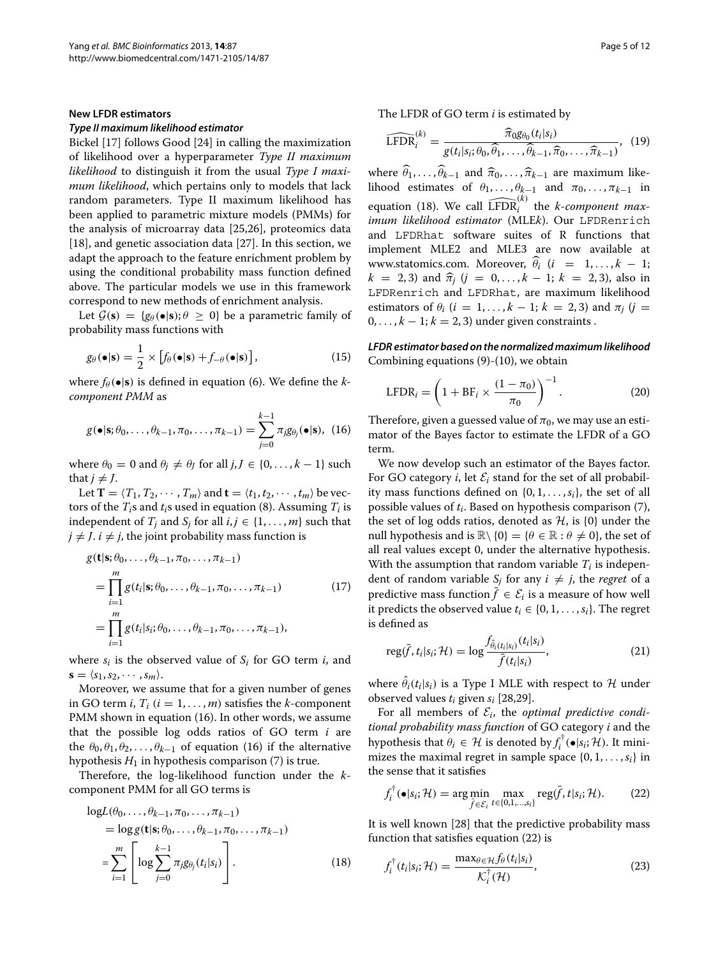#### **New LFDR estimators**

## *Type II maximum likelihood estimator*

Bickel [\[17\]](#page-10-13) follows Good [\[24\]](#page-10-19) in calling the maximization of likelihood over a hyperparameter *Type II maximum likelihood* to distinguish it from the usual *Type I maximum likelihood*, which pertains only to models that lack random parameters. Type II maximum likelihood has been applied to parametric mixture models (PMMs) for the analysis of microarray data [\[25](#page-10-20)[,26\]](#page-10-21), proteomics data [\[18\]](#page-10-22), and genetic association data [\[27\]](#page-10-23). In this section, we adapt the approach to the feature enrichment problem by using the conditional probability mass function defined above. The particular models we use in this framework correspond to new methods of enrichment analysis.

Let  $\mathcal{G}(\mathbf{s}) = {\mathfrak{g}_{\theta}(\bullet|\mathbf{s})}; \theta \geq 0$  be a parametric family of probability mass functions with

$$
g_{\theta}(\bullet|\mathbf{s}) = \frac{1}{2} \times [f_{\theta}(\bullet|\mathbf{s}) + f_{-\theta}(\bullet|\mathbf{s})], \qquad (15)
$$

where  $f_\theta(\bullet|\mathbf{s})$  is defined in equation [\(6\)](#page-2-2). We define the *kcomponent PMM* as

$$
g(\bullet|\mathbf{s};\theta_0,\ldots,\theta_{k-1},\pi_0,\ldots,\pi_{k-1})=\sum_{j=0}^{k-1}\pi_jg_{\theta_j}(\bullet|\mathbf{s}),\ \ (16)
$$

where  $\theta_0 = 0$  and  $\theta_j \neq \theta_j$  for all  $j, J \in \{0, \ldots, k-1\}$  such that  $j \neq J$ .

Let **T** =  $\langle T_1, T_2, \cdots, T_m \rangle$  and **t** =  $\langle t_1, t_2, \cdots, t_m \rangle$  be vectors of the  $T_i$ s and  $t_i$ s used in equation [\(8\)](#page-3-3). Assuming  $T_i$  is independent of  $T_i$  and  $S_i$  for all  $i, j \in \{1, \ldots, m\}$  such that  $j \neq J$ .  $i \neq j$ , the joint probability mass function is

$$
g(\mathbf{t}|\mathbf{s}; \theta_0, \dots, \theta_{k-1}, \pi_0, \dots, \pi_{k-1})
$$
  
= 
$$
\prod_{i=1}^m g(t_i|\mathbf{s}; \theta_0, \dots, \theta_{k-1}, \pi_0, \dots, \pi_{k-1})
$$
 (17)  
= 
$$
\prod_{i=1}^m g(t_i|s_i; \theta_0, \dots, \theta_{k-1}, \pi_0, \dots, \pi_{k-1}),
$$

where  $s_i$  is the observed value of  $S_i$  for GO term  $i$ , and  $\mathbf{s} = \langle s_1, s_2, \cdots, s_m \rangle$ .

Moreover, we assume that for a given number of genes in GO term *i*,  $T_i$  ( $i = 1, \ldots, m$ ) satisfies the *k*-component PMM shown in equation [\(16\)](#page-4-0). In other words, we assume that the possible log odds ratios of GO term *i* are the  $\theta_0, \theta_1, \theta_2, \ldots, \theta_{k-1}$  of equation [\(16\)](#page-4-0) if the alternative hypothesis  $H_1$  in hypothesis comparison [\(7\)](#page-3-4) is true.

Therefore, the log-likelihood function under the *k*component PMM for all GO terms is

$$
\log L(\theta_0, ..., \theta_{k-1}, \pi_0, ..., \pi_{k-1})
$$
  
=  $\log g(\mathbf{t}|\mathbf{s}; \theta_0, ..., \theta_{k-1}, \pi_0, ..., \pi_{k-1})$   
= 
$$
\sum_{i=1}^m \left[ \log \sum_{j=0}^{k-1} \pi_j g_{\theta_j}(t_i|s_i) \right].
$$
 (18)

The LFDR of GO term *i* is estimated by

<span id="page-4-3"></span>
$$
\widehat{\text{LFDR}}_i^{(k)} = \frac{\widehat{\pi}_{0}g_{\theta_0}(t_i|s_i)}{g(t_i|s_i;\theta_0,\widehat{\theta}_1,\ldots,\widehat{\theta}_{k-1},\widehat{\pi}_0,\ldots,\widehat{\pi}_{k-1})},\tag{19}
$$

where  $\widehat{\theta}_1, \ldots, \widehat{\theta}_{k-1}$  and  $\widehat{\pi}_0, \ldots, \widehat{\pi}_{k-1}$  are maximum likelihood estimates of  $\theta_1, \ldots, \theta_{k-1}$  and  $\pi_0, \ldots, \pi_{k-1}$  in equation [\(18\)](#page-4-1). We call  $\widehat{\text{LFDR}}_i^{(k)}$  the *k*-component max*imum likelihood estimator* (MLE*k*). Our LFDRenrich and LFDRhat software suites of R functions that implement MLE2 and MLE3 are now available at www.statomics.com. Moreover,  $\hat{\theta}_i$  (*i* = 1, ..., *k* − 1; *k* = 2, 3) and  $\hat{\pi}_i$  (*j* = 0, ..., *k* − 1; *k* = 2, 3), also in LFDRenrich and LFDRhat, are maximum likelihood estimators of  $\theta_i$  ( $i = 1, \ldots, k - 1; k = 2, 3$ ) and  $\pi_i$  ( $i =$  $0, \ldots, k-1; k = 2, 3$  under given constraints.

<span id="page-4-5"></span>*LFDR estimator based on the normalized maximum likelihood* Combining equations [\(9\)](#page-3-0)-[\(10\)](#page-3-5), we obtain

<span id="page-4-4"></span>
$$
LFDR_{i} = \left(1 + BF_{i} \times \frac{(1 - \pi_{0})}{\pi_{0}}\right)^{-1}.
$$
 (20)

<span id="page-4-0"></span>Therefore, given a guessed value of  $\pi_0$ , we may use an estimator of the Bayes factor to estimate the LFDR of a GO term.

We now develop such an estimator of the Bayes factor. For GO category *i*, let  $\mathcal{E}_i$  stand for the set of all probability mass functions defined on  $\{0, 1, \ldots, s_i\}$ , the set of all possible values of *ti*. Based on hypothesis comparison [\(7\)](#page-3-4), the set of log odds ratios, denoted as  $H$ , is  $\{0\}$  under the null hypothesis and is  $\mathbb{R}\setminus\{0\} = \{\theta \in \mathbb{R} : \theta \neq 0\}$ , the set of all real values except 0, under the alternative hypothesis. With the assumption that random variable  $T_i$  is independent of random variable  $S_i$  for any  $i \neq j$ , the *regret* of a predictive mass function  $\bar{f} \in \mathcal{E}_i$  is a measure of how well it predicts the observed value  $t_i \in \{0, 1, \ldots, s_i\}$ . The regret is defined as

$$
\operatorname{reg}(\bar{f}, t_i|s_i; \mathcal{H}) = \log \frac{f_{\hat{\theta}_i(t_i|s_i)}(t_i|s_i)}{\bar{f}(t_i|s_i)},
$$
\n(21)

where  $\theta_i(t_i|s_i)$  is a Type I MLE with respect to  $\mathcal H$  under observed values *ti* given *si* [\[28,](#page-11-0)[29\]](#page-11-1).

For all members of  $\mathcal{E}_i$ , the *optimal predictive conditional probability mass function* of GO category *i* and the hypothesis that  $\theta_i \in \mathcal{H}$  is denoted by  $f_i^{\dagger}(\bullet|s_i;\mathcal{H})$ . It minimizes the maximal regret in sample space  $\{0, 1, \ldots, s_i\}$  in the sense that it satisfies

<span id="page-4-2"></span>
$$
f_i^{\dagger}(\bullet|s_i;\mathcal{H}) = \arg\min_{\bar{f}\in\mathcal{E}_i} \max_{t\in\{0,1,\dots,s_i\}} \text{reg}(\bar{f},t|s_i;\mathcal{H}).\tag{22}
$$

<span id="page-4-1"></span>It is well known [\[28\]](#page-11-0) that the predictive probability mass function that satisfies equation [\(22\)](#page-4-2) is

$$
f_i^{\dagger}(t_i|s_i; \mathcal{H}) = \frac{\max_{\theta \in \mathcal{H}} f_{\theta}(t_i|s_i)}{\mathcal{K}_i^{\dagger}(\mathcal{H})},
$$
(23)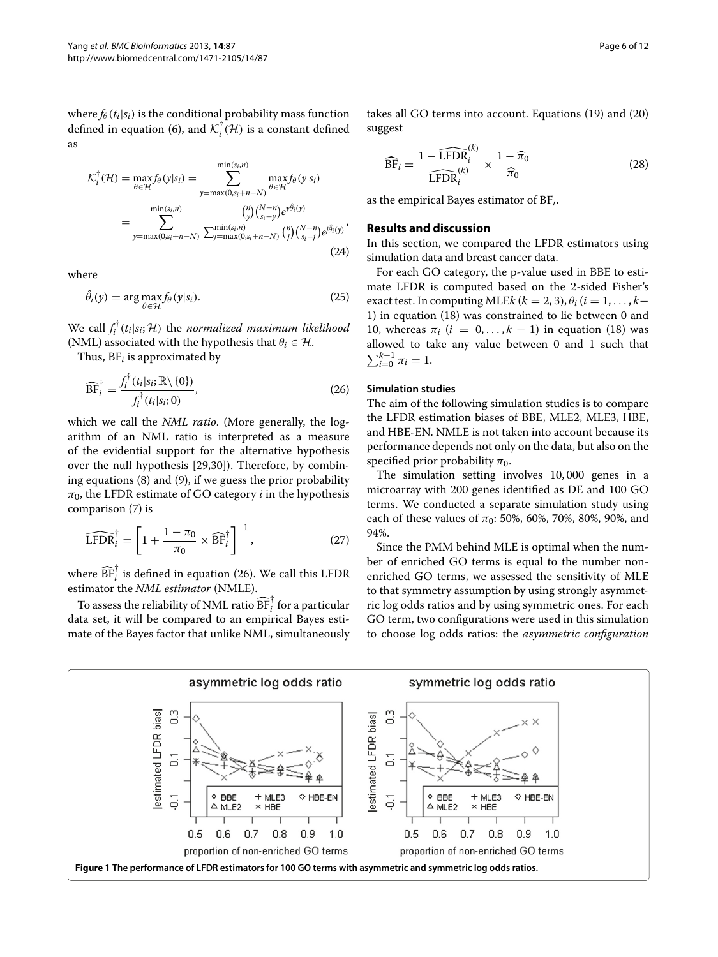where  $f_{\theta}(t_i|s_i)$  is the conditional probability mass function defined in equation [\(6\)](#page-2-2), and  $\mathcal{K}_i^{\dagger}(\mathcal{H})$  is a constant defined as

$$
\mathcal{K}_i^{\dagger}(\mathcal{H}) = \max_{\theta \in \mathcal{H}} f_{\theta}(y|s_i) = \sum_{y=\max(0,s_i+n-N)}^{\min(s_i,n)} \max_{\theta \in \mathcal{H}} f_{\theta}(y|s_i)
$$

$$
= \sum_{y=\max(0,s_i+n-N)}^{\min(s_i,n)} \frac{\binom{n}{y} \binom{N-n}{s_i-y} e^{y\hat{\theta}_i(y)}}{\sum_{j=\max(0,s_i+n-N)}^{\min(s_i,n)} \binom{n}{j} \binom{N-n}{s_i-j} e^{j\hat{\theta}_i(y)}},\tag{24}
$$

where

$$
\hat{\theta}_i(y) = \arg \max_{\theta \in \mathcal{H}} f_{\theta}(y|s_i). \tag{25}
$$

We call  $f_i^{\dagger}(t_i|s_i; \mathcal{H})$  the *normalized maximum likelihood* (NML) associated with the hypothesis that  $\theta_i \in \mathcal{H}$ .

Thus, BF*<sup>i</sup>* is approximated by

<span id="page-5-0"></span>
$$
\widehat{\text{BF}}_i^{\dagger} = \frac{f_i^{\dagger}(t_i|s_i; \mathbb{R}\setminus\{0\})}{f_i^{\dagger}(t_i|s_i; 0)},\tag{26}
$$

which we call the *NML ratio*. (More generally, the logarithm of an NML ratio is interpreted as a measure of the evidential support for the alternative hypothesis over the null hypothesis [\[29,](#page-11-1)[30\]](#page-11-2)). Therefore, by combining equations [\(8\)](#page-3-3) and [\(9\)](#page-3-0), if we guess the prior probability  $\pi_0$ , the LFDR estimate of GO category *i* in the hypothesis comparison [\(7\)](#page-3-4) is

$$
\widehat{\text{LFDR}}_i^{\dagger} = \left[1 + \frac{1 - \pi_0}{\pi_0} \times \widehat{\text{BF}}_i^{\dagger}\right]^{-1},\tag{27}
$$

where  $\widehat{\text{BF}}_{i}^{\dagger}$  is defined in equation [\(26\)](#page-5-0). We call this LFDR estimator the *NML estimator* (NMLE).

To assess the reliability of NML ratio  $\widehat{\text{BF}}_{i}^{\dagger}$  for a particular data set, it will be compared to an empirical Bayes estimate of the Bayes factor that unlike NML, simultaneously takes all GO terms into account. Equations [\(19\)](#page-4-3) and [\(20\)](#page-4-4) suggest

<span id="page-5-2"></span>
$$
\widehat{\text{BF}}_i = \frac{1 - \widehat{\text{LFDR}}_i^{(k)}}{\widehat{\text{LFDR}}_i^{(k)}} \times \frac{1 - \widehat{\pi}_0}{\widehat{\pi}_0} \tag{28}
$$

as the empirical Bayes estimator of BF*i*.

### **Results and discussion**

In this section, we compared the LFDR estimators using simulation data and breast cancer data.

For each GO category, the p-value used in BBE to estimate LFDR is computed based on the 2-sided Fisher's exact test. In computing MLE $k$  ( $k = 2, 3$ ),  $\theta_i$  ( $i = 1, \ldots, k-1$ 1) in equation [\(18\)](#page-4-1) was constrained to lie between 0 and 10, whereas  $\pi_i$  ( $i = 0, \ldots, k - 1$ ) in equation [\(18\)](#page-4-1) was allowed to take any value between 0 and 1 such that  $\sum_{i=0}^{k-1} \pi_i = 1.$ 

## **Simulation studies**

The aim of the following simulation studies is to compare the LFDR estimation biases of BBE, MLE2, MLE3, HBE, and HBE-EN. NMLE is not taken into account because its performance depends not only on the data, but also on the specified prior probability  $\pi_0$ .

The simulation setting involves 10, 000 genes in a microarray with 200 genes identified as DE and 100 GO terms. We conducted a separate simulation study using each of these values of  $\pi_0$ : 50%, 60%, 70%, 80%, 90%, and 94%.

Since the PMM behind MLE is optimal when the number of enriched GO terms is equal to the number nonenriched GO terms, we assessed the sensitivity of MLE to that symmetry assumption by using strongly asymmetric log odds ratios and by using symmetric ones. For each GO term, two configurations were used in this simulation to choose log odds ratios: the *asymmetric configuration*

<span id="page-5-1"></span>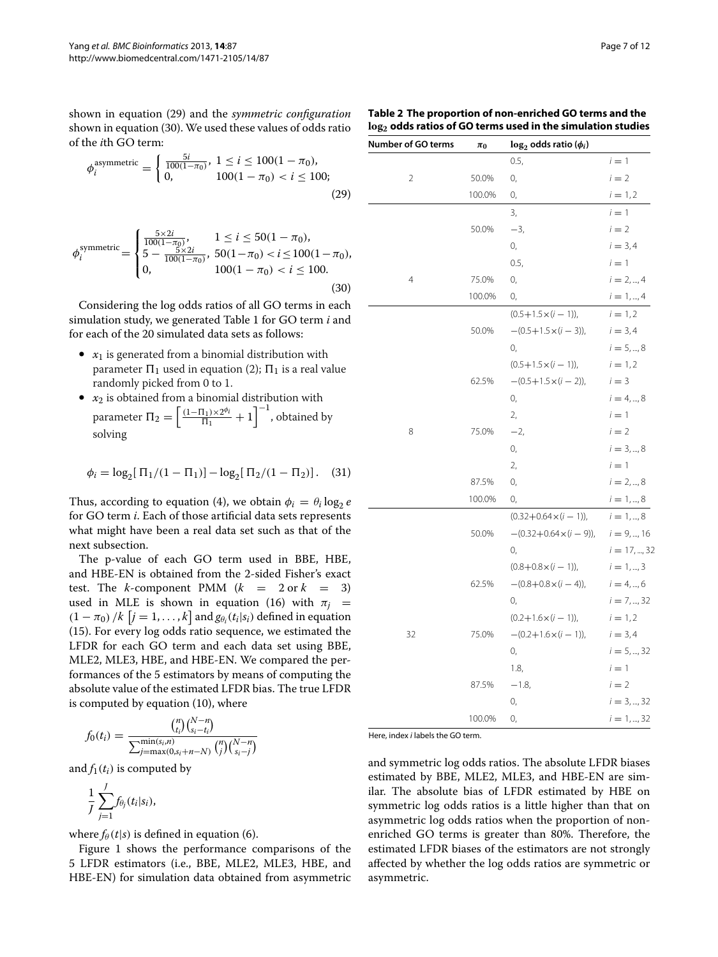shown in equation [\(29\)](#page-6-0) and the *symmetric configuration* shown in equation [\(30\)](#page-6-1). We used these values of odds ratio of the *i*th GO term:

<span id="page-6-0"></span>
$$
\phi_i^{\text{asymmetric}} = \begin{cases} \frac{5i}{100(1-\pi_0)}, & 1 \le i \le 100(1-\pi_0), \\ 0, & 100(1-\pi_0) < i \le 100; \end{cases}
$$
\n(29)

<span id="page-6-1"></span>
$$
\phi_i^{\text{symmetric}} = \begin{cases}\n\frac{5 \times 2i}{100(1 - \pi_0)}, & 1 \le i \le 50(1 - \pi_0), \\
5 - \frac{5 \times 2i}{100(1 - \pi_0)}, & 50(1 - \pi_0) < i \le 100(1 - \pi_0), \\
0, & 100(1 - \pi_0) < i \le 100.\n\end{cases} \tag{30}
$$

Considering the log odds ratios of all GO terms in each simulation study, we generated Table [1](#page-1-0) for GO term *i* and for each of the 20 simulated data sets as follows:

- $x_1$  is generated from a binomial distribution with parameter  $\Pi_1$  used in equation [\(2\)](#page-2-0);  $\Pi_1$  is a real value randomly picked from 0 to 1.
- $x_2$  is obtained from a binomial distribution with parameter  $\Pi_2 = \left\lceil \frac{(1-\Pi_1)\times 2^{\phi_i}}{\Pi_1} + 1 \right\rceil^{-1}$ , obtained by solving

$$
\phi_i = \log_2[\Pi_1/(1 - \Pi_1)] - \log_2[\Pi_2/(1 - \Pi_2)].
$$
 (31)

Thus, according to equation [\(4\)](#page-2-3), we obtain  $\phi_i = \theta_i \log_2 e$ for GO term *i*. Each of those artificial data sets represents what might have been a real data set such as that of the next subsection.

The p-value of each GO term used in BBE, HBE, and HBE-EN is obtained from the 2-sided Fisher's exact test. The *k*-component PMM  $(k = 2 \text{ or } k = 3)$ used in MLE is shown in equation [\(16\)](#page-4-0) with  $\pi$ <sup>*j*</sup> =  $(1 - \pi_0) / k$   $[j = 1, ..., k]$  and  $g_{\theta_i}(t_i | s_i)$  defined in equation [\(15\)](#page-4-5). For every log odds ratio sequence, we estimated the LFDR for each GO term and each data set using BBE, MLE2, MLE3, HBE, and HBE-EN. We compared the performances of the 5 estimators by means of computing the absolute value of the estimated LFDR bias. The true LFDR is computed by equation [\(10\)](#page-3-5), where

$$
f_0(t_i) = \frac{{\binom{n}{t_i}} {\binom{N-n}{s_i-t_i}}}{{\sum_{j=\max(0,s_i+n-N)}^{min(s_i,n)} {\binom{n}{j}} {\binom{N-n}{s_i-j}}}}
$$

and  $f_1(t_i)$  is computed by

$$
\frac{1}{J}\sum_{j=1}^J f_{\theta_j}(t_i|s_i),
$$

where  $f_{\theta}(t|s)$  is defined in equation [\(6\)](#page-2-2).

Figure [1](#page-5-1) shows the performance comparisons of the 5 LFDR estimators (i.e., BBE, MLE2, MLE3, HBE, and HBE-EN) for simulation data obtained from asymmetric

| Number of GO terms | $\pi_0$ | $\log_2$ odds ratio ( $\phi_i$ ) |                |
|--------------------|---------|----------------------------------|----------------|
|                    |         | 0.5,                             | $i=1$          |
| $\overline{2}$     | 50.0%   | 0,                               | $i = 2$        |
|                    | 100.0%  | 0,                               | $i = 1, 2$     |
|                    |         | 3,                               | $i=1$          |
|                    | 50.0%   | $-3,$                            | $i = 2$        |
|                    |         | 0,                               | $i = 3, 4$     |
|                    |         | 0.5,                             | $i=1$          |
| $\overline{4}$     | 75.0%   | 0,                               | $i = 2, , 4$   |
|                    | 100.0%  | 0,                               | $i = 1, , 4$   |
|                    |         | $(0.5+1.5\times(i-1))$ ,         | $i = 1, 2$     |
|                    | 50.0%   | $-(0.5+1.5\times(i-3))$          | $i = 3, 4$     |
|                    |         | 0,                               | $i = 5, , 8$   |
|                    |         | $(0.5+1.5\times(i-1)),$          | $i = 1, 2$     |
|                    | 62.5%   | $-(0.5+1.5\times(i-2))$          | $i = 3$        |
|                    |         | 0,                               | $i = 4, , 8$   |
|                    |         | 2,                               | $i=1$          |
| 8                  | 75.0%   | $-2,$                            | $i = 2$        |
|                    |         | 0,                               | $i = 3, , 8$   |
|                    |         | 2,                               | $i=1$          |
|                    | 87.5%   | 0,                               | $i = 2, , 8$   |
|                    | 100.0%  | 0,                               | $i = 1, , 8$   |
|                    |         | $(0.32+0.64\times(i-1))$         | $i = 1, , 8$   |
|                    | 50.0%   | $-(0.32+0.64\times(i-9))$ ,      | $i = 9, , 16$  |
|                    |         | 0,                               | $i = 17, , 32$ |
|                    |         | $(0.8+0.8\times(i-1))$ ,         | $i = 1, , 3$   |
|                    | 62.5%   | $-(0.8+0.8\times(i-4))$          | $i = 4, , 6$   |
|                    |         | 0,                               | $i = 7, , 32$  |
|                    |         | $(0.2+1.6\times(i-1)),$          | $i = 1, 2$     |
| 32                 | 75.0%   | $-(0.2+1.6\times(i-1))$          | $i = 3, 4$     |
|                    |         | 0,                               | $i = 5, , 32$  |
|                    |         | 1.8,                             | $i=1$          |
|                    | 87.5%   | $-1.8$                           | $i = 2$        |
|                    |         | 0,                               | $i = 3, , 32$  |
|                    | 100.0%  | 0,                               | $i = 1, , 32$  |

Here, index *i* labels the GO term.

and symmetric log odds ratios. The absolute LFDR biases estimated by BBE, MLE2, MLE3, and HBE-EN are similar. The absolute bias of LFDR estimated by HBE on symmetric log odds ratios is a little higher than that on asymmetric log odds ratios when the proportion of nonenriched GO terms is greater than 80%. Therefore, the estimated LFDR biases of the estimators are not strongly affected by whether the log odds ratios are symmetric or asymmetric.

<span id="page-6-2"></span>**Table 2 The proportion of non-enriched GO terms and the log2 odds ratios of GO terms used in the simulation studies**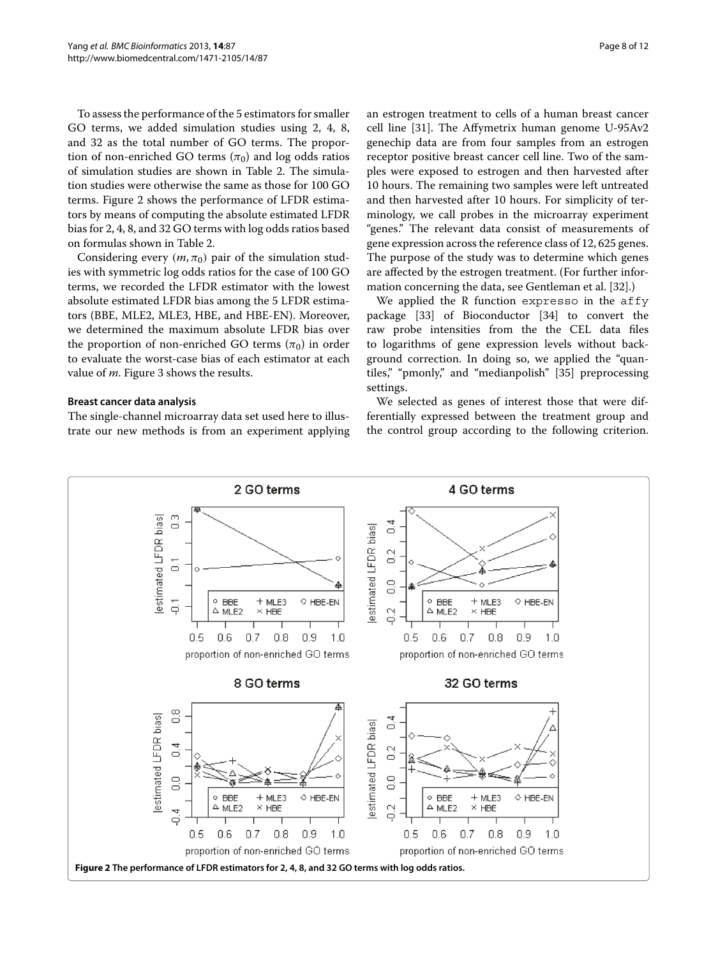To assess the performance of the 5 estimators for smaller GO terms, we added simulation studies using 2, 4, 8, and 32 as the total number of GO terms. The proportion of non-enriched GO terms  $(\pi_0)$  and log odds ratios of simulation studies are shown in Table [2.](#page-6-2) The simulation studies were otherwise the same as those for 100 GO terms. Figure [2](#page-7-0) shows the performance of LFDR estimators by means of computing the absolute estimated LFDR bias for 2, 4, 8, and 32 GO terms with log odds ratios based on formulas shown in Table [2.](#page-6-2)

Considering every  $(m, \pi_0)$  pair of the simulation studies with symmetric log odds ratios for the case of 100 GO terms, we recorded the LFDR estimator with the lowest absolute estimated LFDR bias among the 5 LFDR estimators (BBE, MLE2, MLE3, HBE, and HBE-EN). Moreover, we determined the maximum absolute LFDR bias over the proportion of non-enriched GO terms  $(\pi_0)$  in order to evaluate the worst-case bias of each estimator at each value of *m*. Figure [3](#page-8-0) shows the results.

## **Breast cancer data analysis**

The single-channel microarray data set used here to illustrate our new methods is from an experiment applying an estrogen treatment to cells of a human breast cancer cell line [\[31\]](#page-11-3). The Affymetrix human genome U-95Av2 genechip data are from four samples from an estrogen receptor positive breast cancer cell line. Two of the samples were exposed to estrogen and then harvested after 10 hours. The remaining two samples were left untreated and then harvested after 10 hours. For simplicity of terminology, we call probes in the microarray experiment "genes." The relevant data consist of measurements of gene expression across the reference class of 12, 625 genes. The purpose of the study was to determine which genes are affected by the estrogen treatment. (For further information concerning the data, see Gentleman et al. [\[32\]](#page-11-4).)

We applied the R function expresso in the affy package [\[33\]](#page-11-5) of Bioconductor [\[34\]](#page-11-6) to convert the raw probe intensities from the the CEL data files to logarithms of gene expression levels without background correction. In doing so, we applied the "quantiles," "pmonly," and "medianpolish" [\[35\]](#page-11-7) preprocessing settings.

We selected as genes of interest those that were differentially expressed between the treatment group and the control group according to the following criterion.

<span id="page-7-0"></span>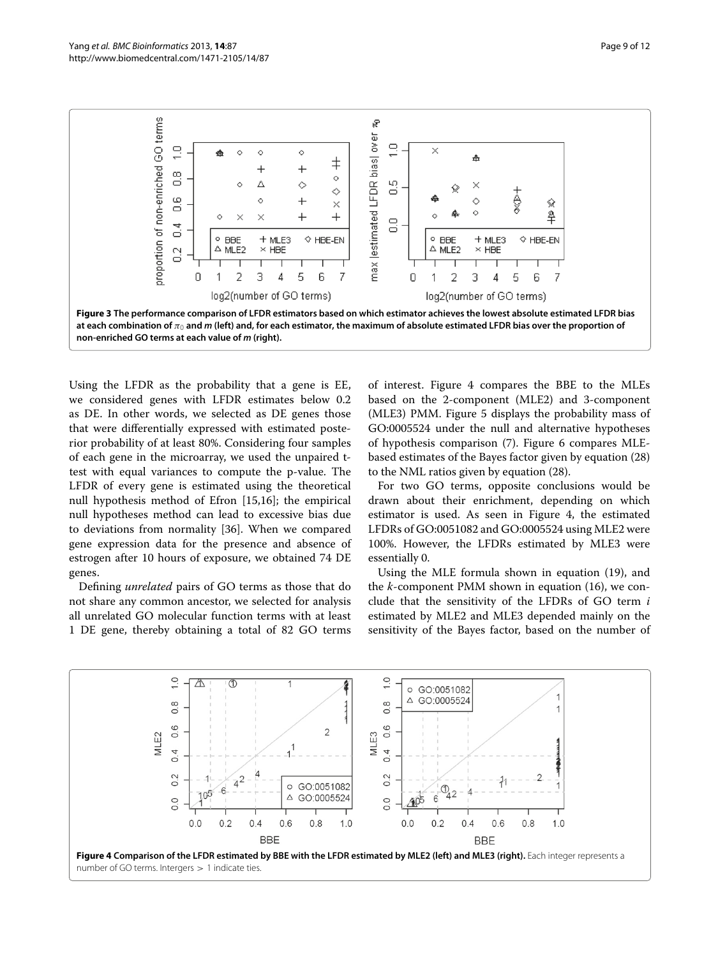

<span id="page-8-0"></span>Using the LFDR as the probability that a gene is EE, we considered genes with LFDR estimates below 0.2 as DE. In other words, we selected as DE genes those that were differentially expressed with estimated posterior probability of at least 80%. Considering four samples of each gene in the microarray, we used the unpaired ttest with equal variances to compute the p-value. The LFDR of every gene is estimated using the theoretical null hypothesis method of Efron [\[15,](#page-10-11)[16\]](#page-10-12); the empirical null hypotheses method can lead to excessive bias due to deviations from normality [\[36\]](#page-11-8). When we compared gene expression data for the presence and absence of estrogen after 10 hours of exposure, we obtained 74 DE genes.

Defining *unrelated* pairs of GO terms as those that do not share any common ancestor, we selected for analysis all unrelated GO molecular function terms with at least 1 DE gene, thereby obtaining a total of 82 GO terms

of interest. Figure [4](#page-8-1) compares the BBE to the MLEs based on the 2-component (MLE2) and 3-component (MLE3) PMM. Figure [5](#page-9-0) displays the probability mass of GO:0005524 under the null and alternative hypotheses of hypothesis comparison [\(7\)](#page-3-4). Figure [6](#page-9-1) compares MLEbased estimates of the Bayes factor given by equation [\(28\)](#page-5-2) to the NML ratios given by equation [\(28\)](#page-5-2).

For two GO terms, opposite conclusions would be drawn about their enrichment, depending on which estimator is used. As seen in Figure [4,](#page-8-1) the estimated LFDRs of GO:0051082 and GO:0005524 using MLE2 were 100%. However, the LFDRs estimated by MLE3 were essentially 0.

Using the MLE formula shown in equation [\(19\)](#page-4-3), and the *k*-component PMM shown in equation [\(16\)](#page-4-0), we conclude that the sensitivity of the LFDRs of GO term *i* estimated by MLE2 and MLE3 depended mainly on the sensitivity of the Bayes factor, based on the number of



<span id="page-8-1"></span>number of GO terms. Intergers *>* 1 indicate ties.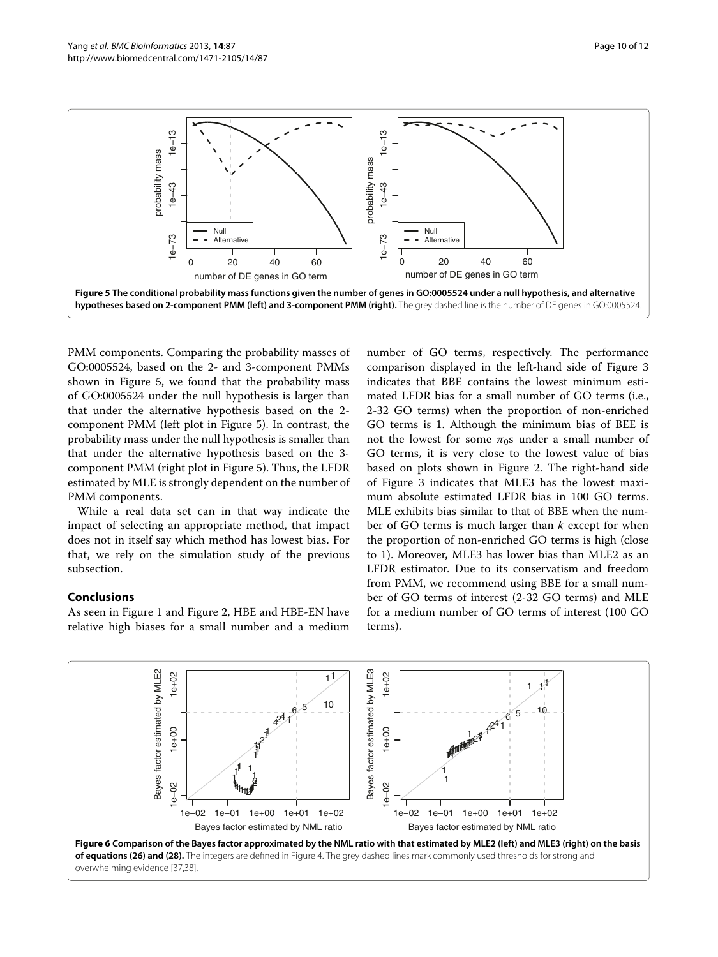

<span id="page-9-0"></span>PMM components. Comparing the probability masses of GO:0005524, based on the 2- and 3-component PMMs shown in Figure [5,](#page-9-0) we found that the probability mass of GO:0005524 under the null hypothesis is larger than that under the alternative hypothesis based on the 2 component PMM (left plot in Figure [5\)](#page-9-0). In contrast, the probability mass under the null hypothesis is smaller than that under the alternative hypothesis based on the 3 component PMM (right plot in Figure [5\)](#page-9-0). Thus, the LFDR estimated by MLE is strongly dependent on the number of PMM components.

While a real data set can in that way indicate the impact of selecting an appropriate method, that impact does not in itself say which method has lowest bias. For that, we rely on the simulation study of the previous subsection.

## **Conclusions**

As seen in Figure [1](#page-5-1) and Figure [2,](#page-7-0) HBE and HBE-EN have relative high biases for a small number and a medium

number of GO terms, respectively. The performance comparison displayed in the left-hand side of Figure [3](#page-8-0) indicates that BBE contains the lowest minimum estimated LFDR bias for a small number of GO terms (i.e., 2-32 GO terms) when the proportion of non-enriched GO terms is 1. Although the minimum bias of BEE is not the lowest for some  $\pi_0$ s under a small number of GO terms, it is very close to the lowest value of bias based on plots shown in Figure [2.](#page-7-0) The right-hand side of Figure [3](#page-8-0) indicates that MLE3 has the lowest maximum absolute estimated LFDR bias in 100 GO terms. MLE exhibits bias similar to that of BBE when the number of GO terms is much larger than *k* except for when the proportion of non-enriched GO terms is high (close to 1). Moreover, MLE3 has lower bias than MLE2 as an LFDR estimator. Due to its conservatism and freedom from PMM, we recommend using BBE for a small number of GO terms of interest (2-32 GO terms) and MLE for a medium number of GO terms of interest (100 GO terms).

<span id="page-9-1"></span>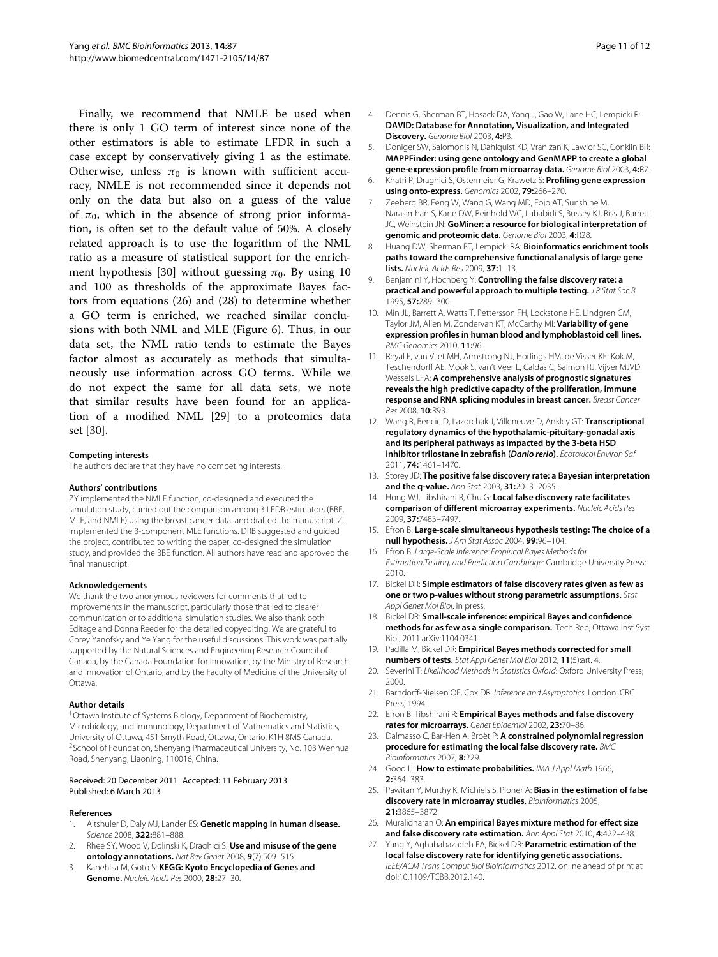Finally, we recommend that NMLE be used when there is only 1 GO term of interest since none of the other estimators is able to estimate LFDR in such a case except by conservatively giving 1 as the estimate. Otherwise, unless  $\pi_0$  is known with sufficient accuracy, NMLE is not recommended since it depends not only on the data but also on a guess of the value of  $\pi_0$ , which in the absence of strong prior information, is often set to the default value of 50%. A closely related approach is to use the logarithm of the NML ratio as a measure of statistical support for the enrich-ment hypothesis [\[30\]](#page-11-2) without guessing  $\pi_0$ . By using 10 and 100 as thresholds of the approximate Bayes factors from equations [\(26\)](#page-5-0) and [\(28\)](#page-5-2) to determine whether a GO term is enriched, we reached similar conclusions with both NML and MLE (Figure [6\)](#page-9-1). Thus, in our data set, the NML ratio tends to estimate the Bayes factor almost as accurately as methods that simultaneously use information across GO terms. While we do not expect the same for all data sets, we note that similar results have been found for an application of a modified NML [\[29\]](#page-11-1) to a proteomics data set [\[30\]](#page-11-2).

#### **Competing interests**

The authors declare that they have no competing interests.

#### **Authors' contributions**

ZY implemented the NMLE function, co-designed and executed the simulation study, carried out the comparison among 3 LFDR estimators (BBE, MLE, and NMLE) using the breast cancer data, and drafted the manuscript. ZL implemented the 3-component MLE functions. DRB suggested and guided the project, contributed to writing the paper, co-designed the simulation study, and provided the BBE function. All authors have read and approved the final manuscript.

#### **Acknowledgements**

We thank the two anonymous reviewers for comments that led to improvements in the manuscript, particularly those that led to clearer communication or to additional simulation studies. We also thank both Editage and Donna Reeder for the detailed copyediting. We are grateful to Corey Yanofsky and Ye Yang for the useful discussions. This work was partially supported by the Natural Sciences and Engineering Research Council of Canada, by the Canada Foundation for Innovation, by the Ministry of Research and Innovation of Ontario, and by the Faculty of Medicine of the University of Ottawa.

#### **Author details**

<sup>1</sup> Ottawa Institute of Systems Biology, Department of Biochemistry, Microbiology, and Immunology, Department of Mathematics and Statistics, University of Ottawa, 451 Smyth Road, Ottawa, Ontario, K1H 8M5 Canada. <sup>2</sup> School of Foundation, Shenyang Pharmaceutical University, No. 103 Wenhua Road, Shenyang, Liaoning, 110016, China.

#### Received: 20 December 2011 Accepted: 11 February 2013 Published: 6 March 2013

#### **References**

- <span id="page-10-0"></span>1. Altshuler D, Daly MJ, Lander ES: **Genetic mapping in human disease.** Science 2008, **322:**881–888.
- <span id="page-10-1"></span>2. Rhee SY, Wood V, Dolinski K, Draghici S: **Use and misuse of the gene ontology annotations.** Nat Rev Genet 2008, **9**(7):509–515.
- <span id="page-10-2"></span>3. Kanehisa M, Goto S: **KEGG: Kyoto Encyclopedia of Genes and Genome.** Nucleic Acids Res 2000, **28:**27–30.
- <span id="page-10-3"></span>4. Dennis G, Sherman BT, Hosack DA, Yang J, Gao W, Lane HC, Lempicki R: **DAVID: Database for Annotation, Visualization, and Integrated Discovery.** Genome Biol 2003, **4:**P3.
- 5. Doniger SW, Salomonis N, Dahlquist KD, Vranizan K, Lawlor SC, Conklin BR: **MAPPFinder: using gene ontology and GenMAPP to create a global gene-expression profile from microarray data.** Genome Biol 2003, **4:**R7.
- 6. Khatri P, Draghici S, Ostermeier G, Krawetz S: **Profiling gene expression using onto-express.** Genomics 2002, **79:**266–270.
- <span id="page-10-4"></span>7. Zeeberg BR, Feng W, Wang G, Wang MD, Fojo AT, Sunshine M, Narasimhan S, Kane DW, Reinhold WC, Lababidi S, Bussey KJ, Riss J, Barrett JC, Weinstein JN: **GoMiner: a resource for biological interpretation of genomic and proteomic data.** Genome Biol 2003, **4:**R28.
- <span id="page-10-5"></span>8. Huang DW, Sherman BT, Lempicki RA: **Bioinformatics enrichment tools paths toward the comprehensive functional analysis of large gene lists.** Nucleic Acids Res 2009, **37:**1–13.
- <span id="page-10-6"></span>9. Benjamini Y, Hochberg Y: **Controlling the false discovery rate: a practical and powerful approach to multiple testing.** JR Stat Soc B 1995, **57:**289–300.
- <span id="page-10-7"></span>10. Min JL, Barrett A, Watts T, Pettersson FH, Lockstone HE, Lindgren CM, Taylor JM, Allen M, Zondervan KT, McCarthy MI: **Variability of gene expression profiles in human blood and lymphoblastoid cell lines.** BMC Genomics 2010, **11:**96.
- 11. Reyal F, van Vliet MH, Armstrong NJ, Horlings HM, de Visser KE, Kok M, Teschendorff AE, Mook S, van't Veer L, Caldas C, Salmon RJ, Vijver MJVD, Wessels LFA: **A comprehensive analysis of prognostic signatures reveals the high predictive capacity of the proliferation, immune response and RNA splicing modules in breast cancer.** Breast Cancer Res 2008, **10:**R93.
- <span id="page-10-8"></span>12. Wang R, Bencic D, Lazorchak J, Villeneuve D, Ankley GT: **Transcriptional regulatory dynamics of the hypothalamic-pituitary-gonadal axis and its peripheral pathways as impacted by the 3-beta HSD inhibitor trilostane in zebrafish (***Danio rerio***).** Ecotoxicol Environ Saf 2011, **74:**1461–1470.
- <span id="page-10-9"></span>13. Storey JD: **The positive false discovery rate: a Bayesian interpretation and the q-value.** Ann Stat 2003, **31:**2013–2035.
- <span id="page-10-10"></span>14. Hong WJ, Tibshirani R, Chu G: **Local false discovery rate facilitates comparison of different microarray experiments.** Nucleic Acids Res 2009, **37:**7483–7497.
- <span id="page-10-11"></span>15. Efron B: **Large-scale simultaneous hypothesis testing: The choice of a null hypothesis.** J Am Stat Assoc 2004, **99:**96–104.
- <span id="page-10-12"></span>16. Efron B: Large-Scale Inference: Empirical Bayes Methods for Estimation,Testing, and Prediction Cambridge: Cambridge University Press; 2010.
- <span id="page-10-13"></span>17. Bickel DR: **Simple estimators of false discovery rates given as few as one or two p-values without strong parametric assumptions.** Stat Appl Genet Mol Biol. in press.
- <span id="page-10-22"></span>18. Bickel DR: **Small-scale inference: empirical Bayes and confidence methods for as few as a single comparison.**: Tech Rep, Ottawa Inst Syst Biol; 2011:arXiv:1104.0341.
- <span id="page-10-14"></span>19. Padilla M, Bickel DR: **Empirical Bayes methods corrected for small numbers of tests.** Stat Appl Genet Mol Biol 2012, **11**(5):art. 4.
- <span id="page-10-15"></span>20. Severini T: Likelihood Methods in Statistics Oxford: Oxford University Press; 2000.
- <span id="page-10-16"></span>21. Barndorff-Nielsen OE, Cox DR: Inference and Asymptotics. London: CRC Press; 1994.
- <span id="page-10-17"></span>22. Efron B, Tibshirani R: **Empirical Bayes methods and false discovery rates for microarrays.** Genet Epidemiol 2002, **23:**70–86.
- <span id="page-10-18"></span>23. Dalmasso C, Bar-Hen A, Broët P: A constrained polynomial regression **procedure for estimating the local false discovery rate.** BMC Bioinformatics 2007, **8:**229.
- <span id="page-10-19"></span>24. Good IJ: How to estimate probabilities. IMA J Appl Math 1966, **2:**364–383.
- <span id="page-10-20"></span>25. Pawitan Y, Murthy K, Michiels S, Ploner A: **Bias in the estimation of false discovery rate in microarray studies.** Bioinformatics 2005, **21:**3865–3872.
- <span id="page-10-21"></span>26. Muralidharan O: **An empirical Bayes mixture method for effect size and false discovery rate estimation.** Ann Appl Stat 2010, **4:**422–438.
- <span id="page-10-23"></span>27. Yang Y, Aghababazadeh FA, Bickel DR: **Parametric estimation of the local false discovery rate for identifying genetic associations.** IEEE/ACM Trans Comput Biol Bioinformatics 2012. online ahead of print at doi[:10.1109/TCBB.2012.140.](http://dx.doi.org/10.1109/TCBB.2012.140)